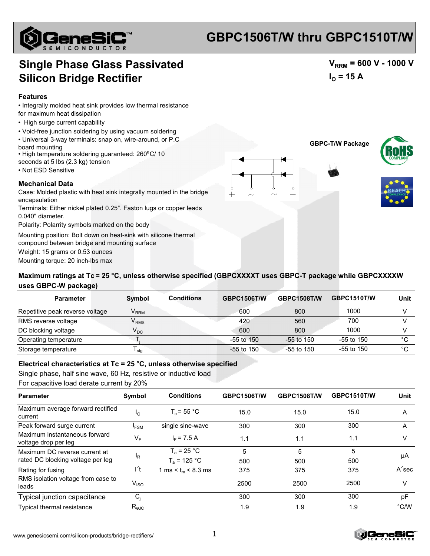

## **GBPC1506T/W thru GBPC1510T/W**

## **Single Phase Glass Passivated Silicon Bridge Rectifier**

#### **Features**

• Integrally molded heat sink provides low thermal resistance

- for maximum heat dissipation
- High surge current capability
- Void-free junction soldering by using vacuum soldering
- Universal 3-way terminals: snap on, wire-around, or P.C board mounting
- High temperature soldering guaranteed: 260°C/ 10
- seconds at 5 lbs (2.3 kg) tension
- Not ESD Sensitive

#### **Mechanical Data**

Case: Molded plastic with heat sink integrally mounted in the bridge encapsulation

Terminals: Either nickel plated 0.25". Faston lugs or copper leads 0.040" diameter.

Polarity: Polarrity symbols marked on the body

Mounting position: Bolt down on heat-sink with silicone thermal

compound between bridge and mounting surface

Weight: 15 grams or 0.53 ounces

Mounting torque: 20 inch-lbs max

### Maximum ratings at Tc = 25 °C, unless otherwise specified (GBPCXXXXT uses GBPC-T package while GBPCXXXXW **uses GBPC-W package)**

| <b>Parameter</b>                | Symbol                      | <b>Conditions</b> | <b>GBPC1506T/W</b> | <b>GBPC1508T/W</b> | <b>GBPC1510T/W</b> | Unit   |
|---------------------------------|-----------------------------|-------------------|--------------------|--------------------|--------------------|--------|
| Repetitive peak reverse voltage | $\mathsf{V}_{\mathsf{RRM}}$ |                   | 600                | 800                | 1000               |        |
| RMS reverse voltage             | $\mathsf{V}_{\mathsf{RMS}}$ |                   | 420                | 560                | 700                |        |
| DC blocking voltage             | $\mathsf{V}_{\mathsf{DC}}$  |                   | 600                | 800                | 1000               |        |
| Operating temperature           |                             |                   | $-55$ to 150       | $-55$ to 150       | -55 to 150         | $\sim$ |
| Storage temperature             | <sup>I</sup> stq            |                   | $-55$ to 150       | $-55$ to 150       | -55 to 150         | $\sim$ |

### **Electrical characteristics at Tc = 25 °C, unless otherwise specified**

Single phase, half sine wave, 60 Hz, resistive or inductive load

For capacitive load derate current by 20%

| Symbol                           | <b>Conditions</b>     | <b>GBPC1506T/W</b> | <b>GBPC1508T/W</b> | <b>GBPC1510T/W</b> | Unit          |
|----------------------------------|-----------------------|--------------------|--------------------|--------------------|---------------|
| ١o                               | $T_c = 55 °C$         | 15.0               | 15.0               | 15.0               | A             |
| $I_{FSM}$                        | single sine-wave      | 300                | 300                | 300                | A             |
| VF                               | $I_F$ = 7.5 A         | 1.1                | 1.1                | 1.1                | v             |
| <sup>I</sup> R                   | $T_a$ = 25 °C         | 5                  | 5                  | 5                  | μA            |
|                                  | $T_a = 125 °C$        | 500                | 500                | 500                |               |
| ľt                               | 1 ms < $t_m$ < 8.3 ms | 375                | 375                | 375                | $A^2$ sec     |
| $\mathsf{V}_{\mathsf{ISO}}$      |                       | 2500               | 2500               | 2500               | V             |
| $C_i$                            |                       | 300                | 300                | 300                | рF            |
| $R_{\rm \scriptscriptstyle 0JC}$ |                       | 1.9                | 1.9                | 1.9                | $\degree$ C/W |
|                                  |                       |                    |                    |                    |               |





 $V_{RRM}$  = 600 V - 1000 V

 $I_{\Omega}$  = 15 A



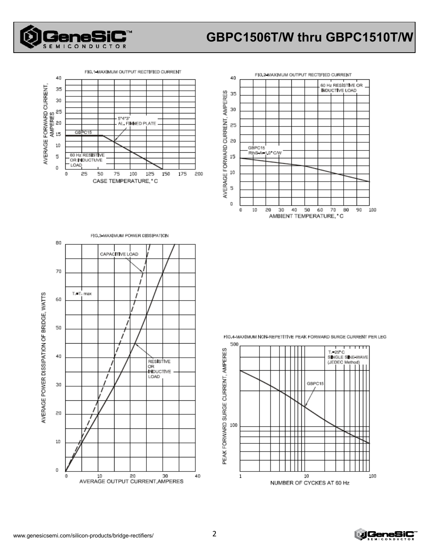

# **GBPC1506T/W thru GBPC1510T/W**







FIG.4-MAXIMUM NON-REPETITIVE PEAK FORWARD SURGE CURRENT PER LEG



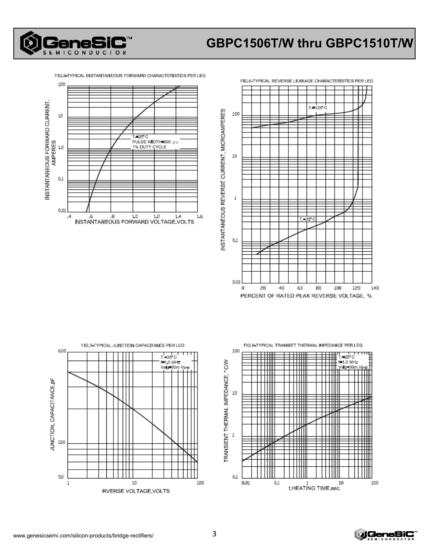

FIG.5 TYPICAL INSTANTANEOUS FORWARD CHARACTERISTICS PER LEG







FIG.8 TYPICAL TRANSIET THERMAL INPEDANCE PER LEG